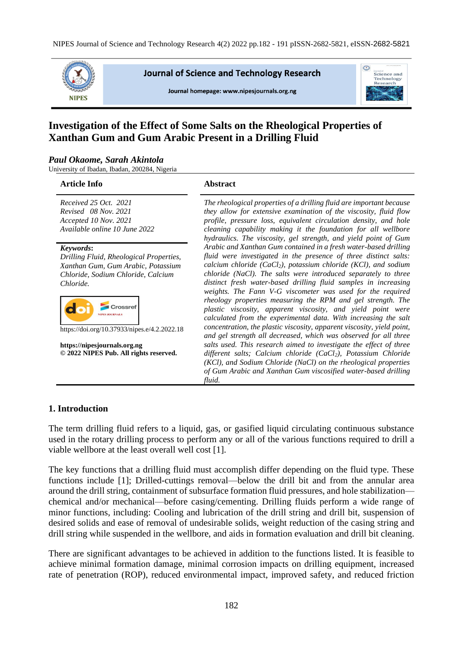

**Journal of Science and Technology Research** 

Journal homepage: www.nipesjournals.org.ng



# **Investigation of the Effect of Some Salts on the Rheological Properties of Xanthan Gum and Gum Arabic Present in a Drilling Fluid**

### *Paul Okaome, Sarah Akintola*

University of Ibadan, Ibadan, 200284, Nigeria

| <b>Article Info</b>                                                    | <b>Abstract</b>                                                                                                                                                                                               |
|------------------------------------------------------------------------|---------------------------------------------------------------------------------------------------------------------------------------------------------------------------------------------------------------|
| Received 25 Oct. 2021<br>Revised 08 Nov. 2021<br>Accepted 10 Nov. 2021 | The rheological properties of a drilling fluid are important because<br>they allow for extensive examination of the viscosity, fluid flow<br>profile, pressure loss, equivalent circulation density, and hole |
| Available online 10 June 2022                                          | cleaning capability making it the foundation for all wellbore<br>hydraulics. The viscosity, gel strength, and yield point of Gum                                                                              |
| Keywords:                                                              | Arabic and Xanthan Gum contained in a fresh water-based drilling                                                                                                                                              |
| Drilling Fluid, Rheological Properties,                                | fluid were investigated in the presence of three distinct salts:                                                                                                                                              |
| Xanthan Gum, Gum Arabic, Potassium                                     | calcium chloride (CaCl <sub>2</sub> ), potassium chloride (KCl), and sodium                                                                                                                                   |
| Chloride, Sodium Chloride, Calcium                                     | chloride (NaCl). The salts were introduced separately to three                                                                                                                                                |
| Chloride.                                                              | distinct fresh water-based drilling fluid samples in increasing<br>weights. The Fann V-G viscometer was used for the required<br>rheology properties measuring the RPM and gel strength. The                  |
| ossret                                                                 | plastic viscosity, apparent viscosity, and yield point were<br>calculated from the experimental data. With increasing the salt                                                                                |
| https://doi.org/10.37933/nipes.e/4.2.2022.18                           | concentration, the plastic viscosity, apparent viscosity, yield point,<br>and gel strength all decreased, which was observed for all three                                                                    |
| https://nipesjournals.org.ng                                           | salts used. This research aimed to investigate the effect of three                                                                                                                                            |
| © 2022 NIPES Pub. All rights reserved.                                 | different salts; Calcium chloride (CaCl2), Potassium Chloride<br>(KCl), and Sodium Chloride (NaCl) on the rheological properties<br>of Gum Arabic and Xanthan Gum viscosified water-based drilling<br>fluid.  |

## **1. Introduction**

The term drilling fluid refers to a liquid, gas, or gasified liquid circulating continuous substance used in the rotary drilling process to perform any or all of the various functions required to drill a viable wellbore at the least overall well cost [1].

The key functions that a drilling fluid must accomplish differ depending on the fluid type. These functions include [1]; Drilled-cuttings removal—below the drill bit and from the annular area around the drill string, containment of subsurface formation fluid pressures, and hole stabilization chemical and/or mechanical—before casing/cementing. Drilling fluids perform a wide range of minor functions, including: Cooling and lubrication of the drill string and drill bit, suspension of desired solids and ease of removal of undesirable solids, weight reduction of the casing string and drill string while suspended in the wellbore, and aids in formation evaluation and drill bit cleaning.

There are significant advantages to be achieved in addition to the functions listed. It is feasible to achieve minimal formation damage, minimal corrosion impacts on drilling equipment, increased rate of penetration (ROP), reduced environmental impact, improved safety, and reduced friction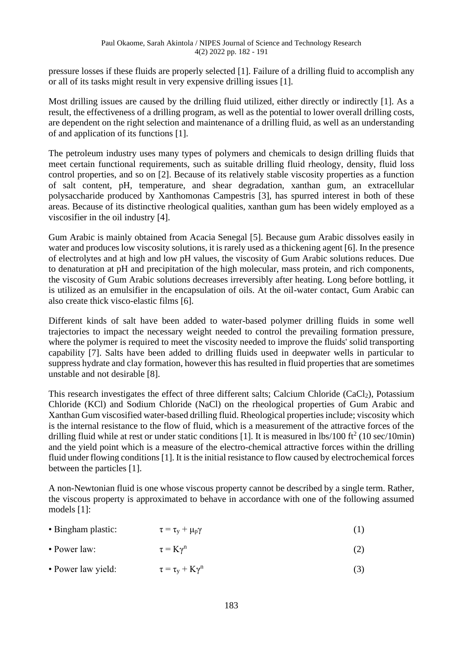pressure losses if these fluids are properly selected [1]. Failure of a drilling fluid to accomplish any or all of its tasks might result in very expensive drilling issues [1].

Most drilling issues are caused by the drilling fluid utilized, either directly or indirectly [1]. As a result, the effectiveness of a drilling program, as well as the potential to lower overall drilling costs, are dependent on the right selection and maintenance of a drilling fluid, as well as an understanding of and application of its functions [1].

The petroleum industry uses many types of polymers and chemicals to design drilling fluids that meet certain functional requirements, such as suitable drilling fluid rheology, density, fluid loss control properties, and so on [2]. Because of its relatively stable viscosity properties as a function of salt content, pH, temperature, and shear degradation, xanthan gum, an extracellular polysaccharide produced by Xanthomonas Campestris [3], has spurred interest in both of these areas. Because of its distinctive rheological qualities, xanthan gum has been widely employed as a viscosifier in the oil industry [4].

Gum Arabic is mainly obtained from Acacia Senegal [5]. Because gum Arabic dissolves easily in water and produces low viscosity solutions, it is rarely used as a thickening agent [6]. In the presence of electrolytes and at high and low pH values, the viscosity of Gum Arabic solutions reduces. Due to denaturation at pH and precipitation of the high molecular, mass protein, and rich components, the viscosity of Gum Arabic solutions decreases irreversibly after heating. Long before bottling, it is utilized as an emulsifier in the encapsulation of oils. At the oil-water contact, Gum Arabic can also create thick visco-elastic films [6].

Different kinds of salt have been added to water-based polymer drilling fluids in some well trajectories to impact the necessary weight needed to control the prevailing formation pressure, where the polymer is required to meet the viscosity needed to improve the fluids' solid transporting capability [7]. Salts have been added to drilling fluids used in deepwater wells in particular to suppress hydrate and clay formation, however this has resulted in fluid properties that are sometimes unstable and not desirable [8].

This research investigates the effect of three different salts; Calcium Chloride (CaCl<sub>2</sub>), Potassium Chloride (KCl) and Sodium Chloride (NaCl) on the rheological properties of Gum Arabic and Xanthan Gum viscosified water-based drilling fluid. Rheological properties include; viscosity which is the internal resistance to the flow of fluid, which is a measurement of the attractive forces of the drilling fluid while at rest or under static conditions [1]. It is measured in  $\frac{1}{5}$  (10 sec/10min) and the yield point which is a measure of the electro-chemical attractive forces within the drilling fluid under flowing conditions [1]. It is the initial resistance to flow caused by electrochemical forces between the particles [1].

A non-Newtonian fluid is one whose viscous property cannot be described by a single term. Rather, the viscous property is approximated to behave in accordance with one of the following assumed models [1]:

| • Bingham plastic:   | $\tau = \tau_{v} + \mu_{p} \gamma$ |  |
|----------------------|------------------------------------|--|
| $\bullet$ Power law: | $\tau = K\gamma^n$                 |  |

• Power law yield:  $\tau = \tau_{v} + K\gamma^{n}$ (3)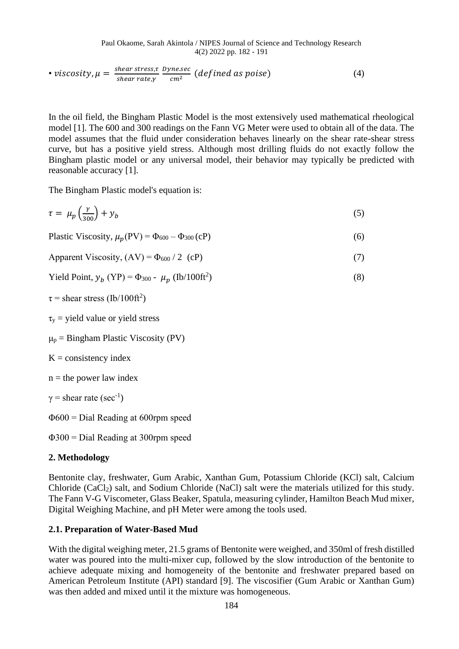Paul Okaome, Sarah Akintola / NIPES Journal of Science and Technology Research 4(2) 2022 pp. 182 - 191

• viscosity, 
$$
\mu = \frac{\text{shear stress}, \tau}{\text{shear rate}, \gamma} \frac{\text{Dynes, sec}}{\text{cm}^2} \text{ (defined as noise)}
$$
 (4)

In the oil field, the Bingham Plastic Model is the most extensively used mathematical rheological model [1]. The 600 and 300 readings on the Fann VG Meter were used to obtain all of the data. The model assumes that the fluid under consideration behaves linearly on the shear rate-shear stress curve, but has a positive yield stress. Although most drilling fluids do not exactly follow the Bingham plastic model or any universal model, their behavior may typically be predicted with reasonable accuracy [1].

The Bingham Plastic model's equation is:

$$
\tau = \mu_p \left(\frac{\gamma}{300}\right) + y_b \tag{5}
$$

Plastic Viscosity,  $\mu_p(PV) = \Phi_{600} - \Phi_{300} (cP)$  (6)

Apparent Viscosity,  $(AV) = \Phi_{600} / 2$  (cP) (7)

$$
Yield Point, y_b (YP) = \Phi_{300} - \mu_p (Ib/100ft^2)
$$
\n(8)

 $\tau$  = shear stress (Ib/100ft<sup>2</sup>)

 $\tau_{v}$  = yield value or yield stress

 $\mu_p$  = Bingham Plastic Viscosity (PV)

 $K =$ consistency index

 $n =$  the power law index

 $\gamma$  = shear rate (sec<sup>-1</sup>)

 $\Phi$ 600 = Dial Reading at 600 rpm speed

Φ300 = Dial Reading at 300rpm speed

#### **2. Methodology**

Bentonite clay, freshwater, Gum Arabic, Xanthan Gum, Potassium Chloride (KCl) salt, Calcium Chloride (CaCl2) salt, and Sodium Chloride (NaCl) salt were the materials utilized for this study. The Fann V-G Viscometer, Glass Beaker, Spatula, measuring cylinder, Hamilton Beach Mud mixer, Digital Weighing Machine, and pH Meter were among the tools used.

### **2.1. Preparation of Water-Based Mud**

With the digital weighing meter, 21.5 grams of Bentonite were weighed, and 350ml of fresh distilled water was poured into the multi-mixer cup, followed by the slow introduction of the bentonite to achieve adequate mixing and homogeneity of the bentonite and freshwater prepared based on American Petroleum Institute (API) standard [9]. The viscosifier (Gum Arabic or Xanthan Gum) was then added and mixed until it the mixture was homogeneous.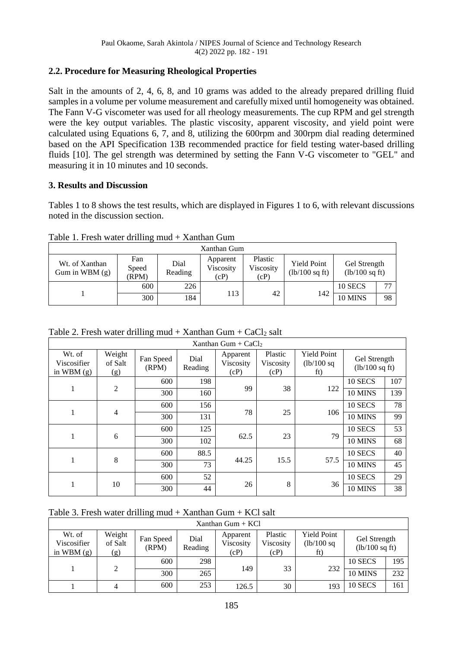## **2.2. Procedure for Measuring Rheological Properties**

Salt in the amounts of 2, 4, 6, 8, and 10 grams was added to the already prepared drilling fluid samples in a volume per volume measurement and carefully mixed until homogeneity was obtained. The Fann V-G viscometer was used for all rheology measurements. The cup RPM and gel strength were the key output variables. The plastic viscosity, apparent viscosity, and yield point were calculated using Equations 6, 7, and 8, utilizing the 600rpm and 300rpm dial reading determined based on the API Specification 13B recommended practice for field testing water-based drilling fluids [10]. The gel strength was determined by setting the Fann V-G viscometer to "GEL" and measuring it in 10 minutes and 10 seconds.

## **3. Results and Discussion**

Tables 1 to 8 shows the test results, which are displayed in Figures 1 to 6, with relevant discussions noted in the discussion section.

| Tuoto II I I John Wutti urililing illuu Taulitiluit Ouilli |                       |                 |                               |                              |                                        |                                          |    |
|------------------------------------------------------------|-----------------------|-----------------|-------------------------------|------------------------------|----------------------------------------|------------------------------------------|----|
|                                                            |                       |                 | Xanthan Gum                   |                              |                                        |                                          |    |
| Wt. of Xanthan<br>Gum in WBM $(g)$                         | Fan<br>Speed<br>(RPM) | Dial<br>Reading | Apparent<br>Viscosity<br>(cP) | Plastic<br>Viscosity<br>(cP) | <b>Yield Point</b><br>$(lb/100$ sq ft) | Gel Strength<br>$(lb/100 \text{ sq ft})$ |    |
|                                                            | 600                   | 226             | 113                           | 42                           |                                        | 10 SECS                                  | 77 |
|                                                            | 300                   | 184             |                               |                              | 142                                    | 10 MINS                                  | 98 |

### Table 2. Fresh water drilling mud + Xanthan Gum +  $CaCl<sub>2</sub>$  salt

|                                       |                          |                    |                 | Xanthan $Gum + CaCl2$                |                              |                                          |                                          |         |    |
|---------------------------------------|--------------------------|--------------------|-----------------|--------------------------------------|------------------------------|------------------------------------------|------------------------------------------|---------|----|
| Wt. of<br>Viscosifier<br>in WBM $(g)$ | Weight<br>of Salt<br>(g) | Fan Speed<br>(RPM) | Dial<br>Reading | Apparent<br><b>Viscosity</b><br>(cP) | Plastic<br>Viscosity<br>(cP) | <b>Yield Point</b><br>(lb/100 sq)<br>ft) | Gel Strength<br>$(lb/100 \text{ sq ft})$ |         |    |
|                                       | 2                        | 600                | 198             |                                      |                              |                                          | 10 SECS                                  | 107     |    |
| -                                     |                          | 300                | 160             | 99<br>38                             | 122                          | 10 MINS                                  | 139                                      |         |    |
|                                       |                          | 600                | 156             |                                      | 25                           | 106                                      | 10 SECS                                  | 78      |    |
|                                       | $\overline{4}$           | 300                | 131             | 78                                   |                              |                                          | 10 MINS                                  | 99      |    |
|                                       |                          | 600                | 125             |                                      | 23                           | 79                                       | 10 SECS                                  | 53      |    |
|                                       | 6                        | 300                | 102             | 62.5                                 |                              |                                          | 10 MINS                                  | 68      |    |
|                                       | 8                        |                    | 600             | 88.5                                 |                              |                                          |                                          | 10 SECS | 40 |
|                                       |                          | 300                | 73              | 44.25                                | 15.5                         | 57.5                                     | 10 MINS                                  | 45      |    |
|                                       |                          | 600                | 52              |                                      |                              |                                          | 10 SECS                                  | 29      |    |
|                                       | 10                       | 300                | 44              | 26                                   | 8                            | 36                                       | 10 MINS                                  | 38      |    |

| $X$ anthan Gum + $KCl$                |                          |                    |                 |                               |                              |                                          |                                          |     |
|---------------------------------------|--------------------------|--------------------|-----------------|-------------------------------|------------------------------|------------------------------------------|------------------------------------------|-----|
| Wt. of<br>Viscosifier<br>in WBM $(g)$ | Weight<br>of Salt<br>(g) | Fan Speed<br>(RPM) | Dial<br>Reading | Apparent<br>Viscosity<br>(cP) | Plastic<br>Viscosity<br>(cP) | <b>Yield Point</b><br>(lb/100 sq)<br>ft) | Gel Strength<br>$(lb/100 \text{ sq ft})$ |     |
|                                       |                          | 600                | 298             |                               |                              |                                          | 10 SECS                                  | 195 |
|                                       |                          | 300                | 265             | 149                           | 33                           | 232                                      | 10 MINS                                  | 232 |
|                                       |                          | 600                | 253             | 126.5                         | 30                           | 193                                      | 10 SECS                                  | 161 |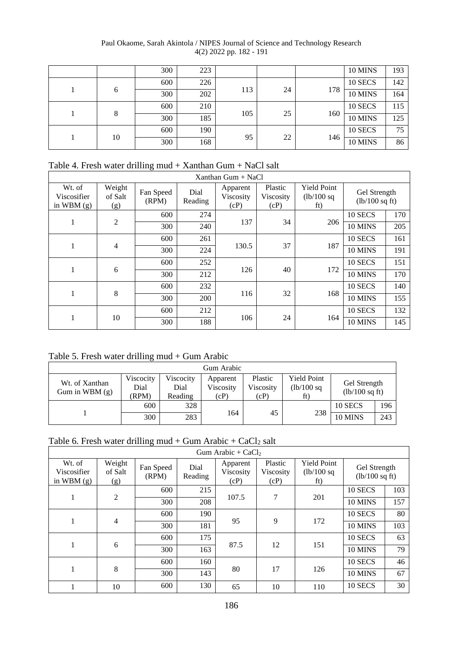### Paul Okaome, Sarah Akintola / NIPES Journal of Science and Technology Research 4(2) 2022 pp. 182 - 191

|  |    | 300 | 223 |     |    |     | 10 MINS | 193 |
|--|----|-----|-----|-----|----|-----|---------|-----|
|  | 6  | 600 | 226 |     | 24 | 178 | 10 SECS | 142 |
|  |    | 300 | 202 | 113 |    |     | 10 MINS | 164 |
|  | 8  | 600 | 210 |     | 25 | 160 | 10 SECS | 115 |
|  |    | 300 | 185 | 105 |    |     | 10 MINS | 125 |
|  | 10 | 600 | 190 | 95  | 22 | 146 | 10 SECS | 75  |
|  |    | 300 | 168 |     |    |     | 10 MINS | 86  |

## Table 4. Fresh water drilling mud + Xanthan Gum + NaCl salt

|                                       |                          |                    |                 | Xanthan $Gum + NaCl$          |                              |                                          |                                |     |
|---------------------------------------|--------------------------|--------------------|-----------------|-------------------------------|------------------------------|------------------------------------------|--------------------------------|-----|
| Wt. of<br>Viscosifier<br>in WBM $(g)$ | Weight<br>of Salt<br>(g) | Fan Speed<br>(RPM) | Dial<br>Reading | Apparent<br>Viscosity<br>(cP) | Plastic<br>Viscosity<br>(cP) | <b>Yield Point</b><br>(lb/100 sq)<br>ft) | Gel Strength<br>(lb/100 sq ft) |     |
|                                       |                          | 600                | 274             |                               |                              |                                          | 10 SECS                        | 170 |
| л                                     | $\mathfrak{2}$           | 300                | 240             | 137                           | 34                           | 206                                      | 10 MINS                        | 205 |
|                                       |                          | 600                | 261             | 130.5                         | 37                           | 187                                      | 10 SECS                        | 161 |
| л                                     | $\overline{4}$           | 300                | 224             |                               |                              |                                          | 10 MINS                        | 191 |
|                                       |                          | 600                | 252             |                               | 40                           | 172                                      | 10 SECS                        | 151 |
| л                                     | 6                        | 300                | 212             | 126                           |                              |                                          | 10 MINS                        | 170 |
|                                       |                          | 600                | 232             |                               | 32                           | 168                                      | 10 SECS                        | 140 |
|                                       | $\,8\,$                  | 300                | 200             | 116                           |                              |                                          | 10 MINS                        | 155 |
|                                       |                          | 600                | 212             |                               |                              | 164                                      | 10 SECS                        | 132 |
|                                       | 10                       | 300                | 188             | 106                           | 24                           |                                          | 10 MINS                        | 145 |

## Table 5. Fresh water drilling mud + Gum Arabic

|                                    |                            |                              | Gum Arabic                    |                              |                                   |                                  |     |
|------------------------------------|----------------------------|------------------------------|-------------------------------|------------------------------|-----------------------------------|----------------------------------|-----|
| Wt. of Xanthan<br>Gum in WBM $(g)$ | Viscocity<br>Dial<br>(RPM) | Viscocity<br>Dial<br>Reading | Apparent<br>Viscosity<br>(cP) | Plastic<br>Viscosity<br>(cP) | <b>Yield Point</b><br>(lb/100 sq) | Gel Strength<br>$(lb/100$ sq ft) |     |
|                                    | 600                        | 328                          |                               |                              |                                   | 10 SECS                          | 196 |
|                                    | 300                        | 283                          | 164                           | 45                           | 238                               | 10 MINS                          | 243 |

## Table 6. Fresh water drilling mud + Gum Arabic +  $CaCl<sub>2</sub>$  salt

|                                       |                          |                    |                 | Gum Arabic + $CaCl2$          |                              |                                          |                                          |     |
|---------------------------------------|--------------------------|--------------------|-----------------|-------------------------------|------------------------------|------------------------------------------|------------------------------------------|-----|
| Wt. of<br>Viscosifier<br>in WBM $(g)$ | Weight<br>of Salt<br>(g) | Fan Speed<br>(RPM) | Dial<br>Reading | Apparent<br>Viscosity<br>(cP) | Plastic<br>Viscosity<br>(cP) | <b>Yield Point</b><br>(lb/100 sq)<br>ft) | Gel Strength<br>$(lb/100 \text{ sq ft})$ |     |
|                                       |                          | 600                | 215             |                               | 7                            |                                          | 10 SECS                                  | 103 |
|                                       | 2                        | 300                | 208             | 107.5                         |                              | 201                                      | 10 MINS                                  | 157 |
|                                       |                          | 600                | 190             | 95                            | 9                            | 172                                      | 10 SECS                                  | 80  |
| л.                                    | $\overline{4}$           | 300                | 181             |                               |                              |                                          | 10 MINS                                  | 103 |
|                                       |                          | 600                | 175             |                               |                              | 151                                      | 10 SECS                                  | 63  |
|                                       | 6                        | 300                | 163             | 87.5                          | 12                           |                                          | 10 MINS                                  | 79  |
|                                       |                          | 600                | 160             |                               |                              |                                          | 10 SECS                                  | 46  |
|                                       | 8                        | 300                | 143             | 80                            | 17                           | 126                                      | 10 MINS                                  | 67  |
|                                       | 10                       | 600                | 130             | 65                            | 10                           | 110                                      | 10 SECS                                  | 30  |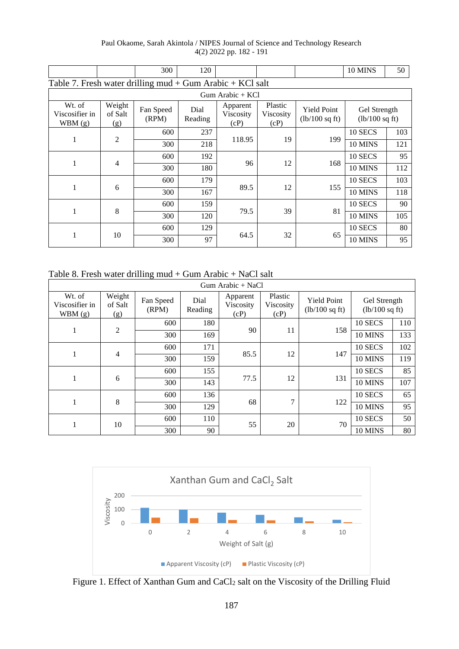| Paul Okaome, Sarah Akintola / NIPES Journal of Science and Technology Research |  |
|--------------------------------------------------------------------------------|--|
| $4(2)$ 2022 pp. 182 - 191                                                      |  |

|                                                           |                          | 300                | 120             |                               |                              |                                        | 10 MINS                          | 50  |  |  |  |  |  |
|-----------------------------------------------------------|--------------------------|--------------------|-----------------|-------------------------------|------------------------------|----------------------------------------|----------------------------------|-----|--|--|--|--|--|
| Table 7. Fresh water drilling mud + Gum Arabic + KCl salt |                          |                    |                 |                               |                              |                                        |                                  |     |  |  |  |  |  |
| $Gum Arabic + KCl$                                        |                          |                    |                 |                               |                              |                                        |                                  |     |  |  |  |  |  |
| Wt. of<br>Viscosifier in<br>WBM(g)                        | Weight<br>of Salt<br>(g) | Fan Speed<br>(RPM) | Dial<br>Reading | Apparent<br>Viscosity<br>(cP) | Plastic<br>Viscosity<br>(cP) | <b>Yield Point</b><br>$(lb/100$ sq ft) | Gel Strength<br>$(lb/100$ sq ft) |     |  |  |  |  |  |
| 1                                                         | 2                        | 600                | 237             | 118.95                        | 19                           | 199                                    | 10 SECS                          | 103 |  |  |  |  |  |
|                                                           |                          | 300                | 218             |                               |                              |                                        | 10 MINS                          | 121 |  |  |  |  |  |
| 1                                                         | $\overline{4}$           | 600                | 192             | 96                            | 12                           | 168                                    | 10 SECS                          | 95  |  |  |  |  |  |
|                                                           |                          | 300                | 180             |                               |                              |                                        | 10 MINS                          | 112 |  |  |  |  |  |
|                                                           | 6                        | 600                | 179             | 89.5                          | 12                           | 155                                    | 10 SECS                          | 103 |  |  |  |  |  |
|                                                           |                          | 300                | 167             |                               |                              |                                        | 10 MINS                          | 118 |  |  |  |  |  |
| 1                                                         | 8                        | 600                | 159             | 79.5                          | 39                           | 81                                     | 10 SECS                          | 90  |  |  |  |  |  |
|                                                           |                          | 300                | 120             |                               |                              |                                        | 10 MINS                          | 105 |  |  |  |  |  |
| 1                                                         | 10                       | 600                | 129             | 64.5                          | 32                           | 65                                     | 10 SECS                          | 80  |  |  |  |  |  |
|                                                           |                          | 300                | 97              |                               |                              |                                        | 10 MINS                          | 95  |  |  |  |  |  |

Table 8. Fresh water drilling mud + Gum Arabic + NaCl salt

| Gum Arabic + NaCl                  |                          |                    |                 |                               |                              |                                                |                                  |     |  |  |  |  |  |
|------------------------------------|--------------------------|--------------------|-----------------|-------------------------------|------------------------------|------------------------------------------------|----------------------------------|-----|--|--|--|--|--|
| Wt. of<br>Viscosifier in<br>WBM(g) | Weight<br>of Salt<br>(g) | Fan Speed<br>(RPM) | Dial<br>Reading | Apparent<br>Viscosity<br>(cP) | Plastic<br>Viscosity<br>(cP) | <b>Yield Point</b><br>$(lb/100 \text{ sq ft})$ | Gel Strength<br>$(lb/100$ sq ft) |     |  |  |  |  |  |
|                                    | 2                        | 600                | 180             | 90                            | 11                           | 158                                            | 10 SECS                          | 110 |  |  |  |  |  |
|                                    |                          | 300                | 169             |                               |                              |                                                | 10 MINS                          | 133 |  |  |  |  |  |
|                                    | $\overline{4}$           | 600                | 171             | 85.5                          | 12                           | 147                                            | 10 SECS                          | 102 |  |  |  |  |  |
|                                    |                          | 300                | 159             |                               |                              |                                                | 10 MINS                          | 119 |  |  |  |  |  |
|                                    | 6                        | 600                | 155             | 77.5                          | 12                           | 131                                            | 10 SECS                          | 85  |  |  |  |  |  |
|                                    |                          | 300                | 143             |                               |                              |                                                | 10 MINS                          | 107 |  |  |  |  |  |
|                                    | $\,8\,$                  | 600                | 136             | 68                            | 7                            | 122                                            | 10 SECS                          | 65  |  |  |  |  |  |
|                                    |                          | 300                | 129             |                               |                              |                                                | 10 MINS                          | 95  |  |  |  |  |  |
|                                    | 10                       | 600                | 110             | 55                            | 20                           | 70                                             | 10 SECS                          | 50  |  |  |  |  |  |
|                                    |                          | 300                | 90              |                               |                              |                                                | 10 MINS                          | 80  |  |  |  |  |  |



Figure 1. Effect of Xanthan Gum and CaCl<sub>2</sub> salt on the Viscosity of the Drilling Fluid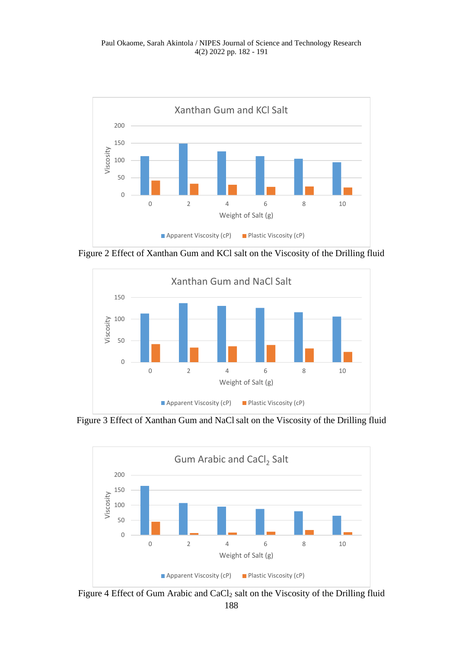

Figure 2 Effect of Xanthan Gum and KCl salt on the Viscosity of the Drilling fluid



Figure 3 Effect of Xanthan Gum and NaClsalt on the Viscosity of the Drilling fluid



188 Figure 4 Effect of Gum Arabic and CaCl<sub>2</sub> salt on the Viscosity of the Drilling fluid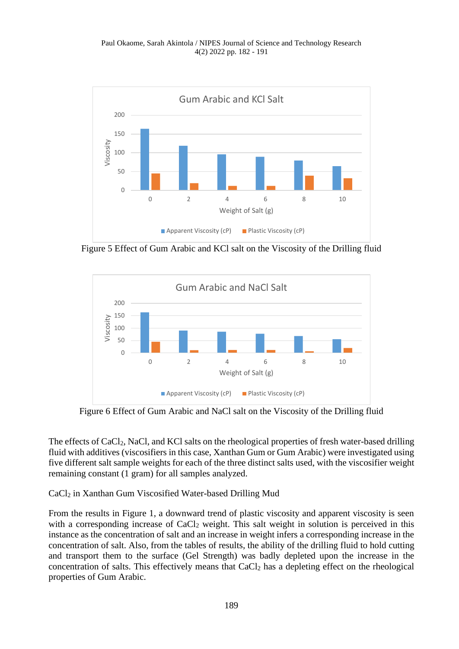

Figure 5 Effect of Gum Arabic and KCl salt on the Viscosity of the Drilling fluid



Figure 6 Effect of Gum Arabic and NaCl salt on the Viscosity of the Drilling fluid

The effects of CaCl<sub>2</sub>, NaCl, and KCl salts on the rheological properties of fresh water-based drilling fluid with additives (viscosifiers in this case, Xanthan Gum or Gum Arabic) were investigated using five different salt sample weights for each of the three distinct salts used, with the viscosifier weight remaining constant (1 gram) for all samples analyzed.

CaCl<sup>2</sup> in Xanthan Gum Viscosified Water-based Drilling Mud

From the results in Figure 1, a downward trend of plastic viscosity and apparent viscosity is seen with a corresponding increase of  $CaCl<sub>2</sub>$  weight. This salt weight in solution is perceived in this instance as the concentration of salt and an increase in weight infers a corresponding increase in the concentration of salt. Also, from the tables of results, the ability of the drilling fluid to hold cutting and transport them to the surface (Gel Strength) was badly depleted upon the increase in the concentration of salts. This effectively means that  $CaCl<sub>2</sub>$  has a depleting effect on the rheological properties of Gum Arabic.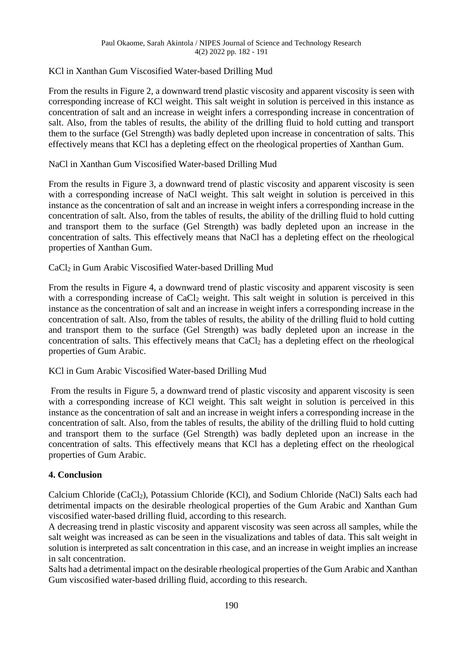## KCl in Xanthan Gum Viscosified Water-based Drilling Mud

From the results in Figure 2, a downward trend plastic viscosity and apparent viscosity is seen with corresponding increase of KCl weight. This salt weight in solution is perceived in this instance as concentration of salt and an increase in weight infers a corresponding increase in concentration of salt. Also, from the tables of results, the ability of the drilling fluid to hold cutting and transport them to the surface (Gel Strength) was badly depleted upon increase in concentration of salts. This effectively means that KCl has a depleting effect on the rheological properties of Xanthan Gum.

## NaCl in Xanthan Gum Viscosified Water-based Drilling Mud

From the results in Figure 3, a downward trend of plastic viscosity and apparent viscosity is seen with a corresponding increase of NaCl weight. This salt weight in solution is perceived in this instance as the concentration of salt and an increase in weight infers a corresponding increase in the concentration of salt. Also, from the tables of results, the ability of the drilling fluid to hold cutting and transport them to the surface (Gel Strength) was badly depleted upon an increase in the concentration of salts. This effectively means that NaCl has a depleting effect on the rheological properties of Xanthan Gum.

## CaCl<sup>2</sup> in Gum Arabic Viscosified Water-based Drilling Mud

From the results in Figure 4, a downward trend of plastic viscosity and apparent viscosity is seen with a corresponding increase of CaCl<sub>2</sub> weight. This salt weight in solution is perceived in this instance as the concentration of salt and an increase in weight infers a corresponding increase in the concentration of salt. Also, from the tables of results, the ability of the drilling fluid to hold cutting and transport them to the surface (Gel Strength) was badly depleted upon an increase in the concentration of salts. This effectively means that  $CaCl<sub>2</sub>$  has a depleting effect on the rheological properties of Gum Arabic.

### KCl in Gum Arabic Viscosified Water-based Drilling Mud

From the results in Figure 5, a downward trend of plastic viscosity and apparent viscosity is seen with a corresponding increase of KCl weight. This salt weight in solution is perceived in this instance as the concentration of salt and an increase in weight infers a corresponding increase in the concentration of salt. Also, from the tables of results, the ability of the drilling fluid to hold cutting and transport them to the surface (Gel Strength) was badly depleted upon an increase in the concentration of salts. This effectively means that KCl has a depleting effect on the rheological properties of Gum Arabic.

### **4. Conclusion**

Calcium Chloride (CaCl2), Potassium Chloride (KCl), and Sodium Chloride (NaCl) Salts each had detrimental impacts on the desirable rheological properties of the Gum Arabic and Xanthan Gum viscosified water-based drilling fluid, according to this research.

A decreasing trend in plastic viscosity and apparent viscosity was seen across all samples, while the salt weight was increased as can be seen in the visualizations and tables of data. This salt weight in solution is interpreted as salt concentration in this case, and an increase in weight implies an increase in salt concentration.

Salts had a detrimental impact on the desirable rheological properties of the Gum Arabic and Xanthan Gum viscosified water-based drilling fluid, according to this research.